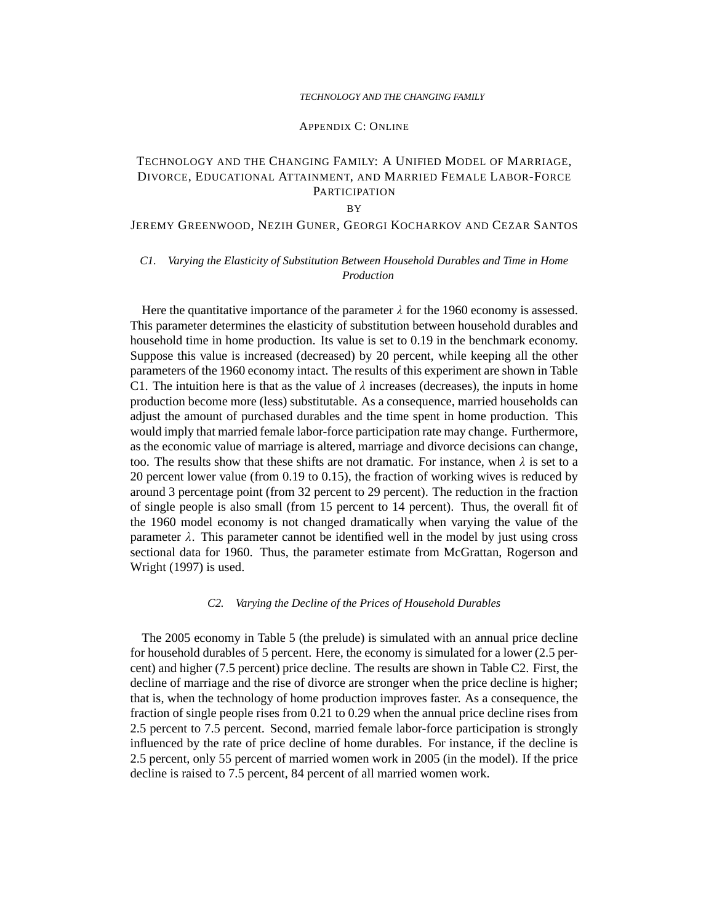#### APPENDIX C: ONLINE

# TECHNOLOGY AND THE CHANGING FAMILY: A UNIFIED MODEL OF MARRIAGE, DIVORCE, EDUCATIONAL ATTAINMENT, AND MARRIED FEMALE LABOR-FORCE **PARTICIPATION**

#### BY

# JEREMY GREENWOOD, NEZIH GUNER, GEORGI KOCHARKOV AND CEZAR SANTOS

## *C1. Varying the Elasticity of Substitution Between Household Durables and Time in Home Production*

Here the quantitative importance of the parameter  $\lambda$  for the 1960 economy is assessed. This parameter determines the elasticity of substitution between household durables and household time in home production. Its value is set to 0.19 in the benchmark economy. Suppose this value is increased (decreased) by 20 percent, while keeping all the other parameters of the 1960 economy intact. The results of this experiment are shown in Table C1. The intuition here is that as the value of  $\lambda$  increases (decreases), the inputs in home production become more (less) substitutable. As a consequence, married households can adjust the amount of purchased durables and the time spent in home production. This would imply that married female labor-force participation rate may change. Furthermore, as the economic value of marriage is altered, marriage and divorce decisions can change, too. The results show that these shifts are not dramatic. For instance, when  $\lambda$  is set to a 20 percent lower value (from 0.19 to 0.15), the fraction of working wives is reduced by around 3 percentage point (from 32 percent to 29 percent). The reduction in the fraction of single people is also small (from 15 percent to 14 percent). Thus, the overall fit of the 1960 model economy is not changed dramatically when varying the value of the parameter  $\lambda$ . This parameter cannot be identified well in the model by just using cross sectional data for 1960. Thus, the parameter estimate from McGrattan, Rogerson and Wright (1997) is used.

#### *C2. Varying the Decline of the Prices of Household Durables*

The 2005 economy in Table 5 (the prelude) is simulated with an annual price decline for household durables of 5 percent. Here, the economy is simulated for a lower (2.5 percent) and higher (7.5 percent) price decline. The results are shown in Table C2. First, the decline of marriage and the rise of divorce are stronger when the price decline is higher; that is, when the technology of home production improves faster. As a consequence, the fraction of single people rises from 0.21 to 0.29 when the annual price decline rises from 2.5 percent to 7.5 percent. Second, married female labor-force participation is strongly influenced by the rate of price decline of home durables. For instance, if the decline is 2.5 percent, only 55 percent of married women work in 2005 (in the model). If the price decline is raised to 7.5 percent, 84 percent of all married women work.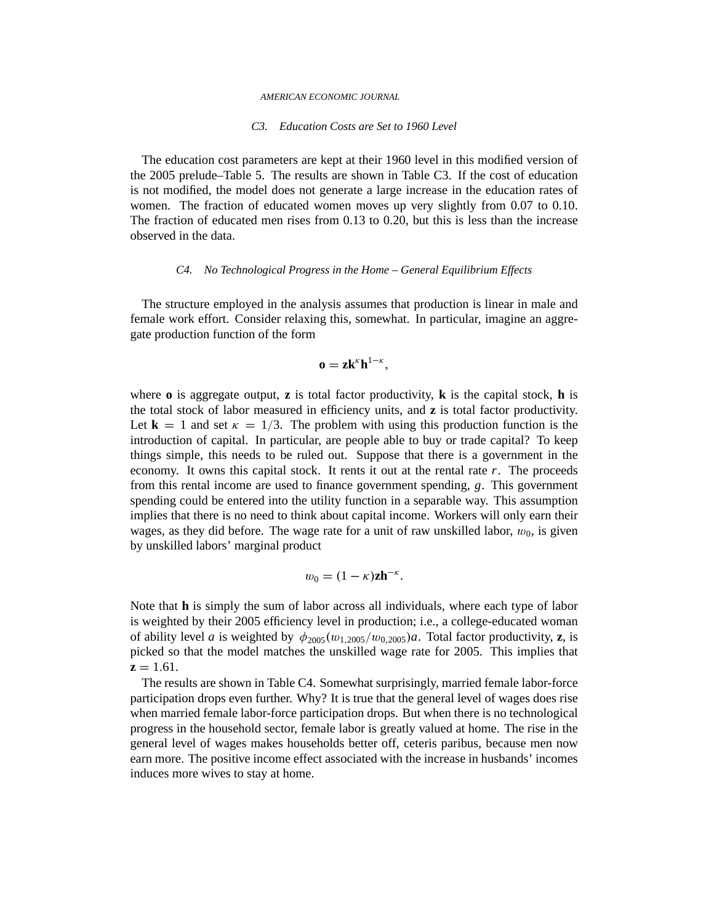#### *AMERICAN ECONOMIC JOURNAL*

#### *C3. Education Costs are Set to 1960 Level*

The education cost parameters are kept at their 1960 level in this modified version of the 2005 prelude–Table 5. The results are shown in Table C3. If the cost of education is not modified, the model does not generate a large increase in the education rates of women. The fraction of educated women moves up very slightly from 0.07 to 0.10. The fraction of educated men rises from 0.13 to 0.20, but this is less than the increase observed in the data.

#### *C4. No Technological Progress in the Home – General Equilibrium Effects*

The structure employed in the analysis assumes that production is linear in male and female work effort. Consider relaxing this, somewhat. In particular, imagine an aggregate production function of the form

# $\mathbf{o} = \mathbf{z} \mathbf{k}^{\kappa} \mathbf{h}^{1-\kappa},$

where  $\bf{o}$  is aggregate output,  $\bf{z}$  is total factor productivity,  $\bf{k}$  is the capital stock,  $\bf{h}$  is the total stock of labor measured in efficiency units, and **z** is total factor productivity. Let  $\mathbf{k} = 1$  and set  $\kappa = 1/3$ . The problem with using this production function is the introduction of capital. In particular, are people able to buy or trade capital? To keep things simple, this needs to be ruled out. Suppose that there is a government in the economy. It owns this capital stock. It rents it out at the rental rate *r*. The proceeds from this rental income are used to finance government spending, *g*. This government spending could be entered into the utility function in a separable way. This assumption implies that there is no need to think about capital income. Workers will only earn their wages, as they did before. The wage rate for a unit of raw unskilled labor,  $w_0$ , is given by unskilled labors' marginal product

$$
w_0=(1-\kappa)\mathbf{z}\mathbf{h}^{-\kappa}.
$$

Note that **h** is simply the sum of labor across all individuals, where each type of labor is weighted by their 2005 efficiency level in production; i.e., a college-educated woman of ability level *a* is weighted by  $\phi_{2005}(w_{1,2005}/w_{0,2005})a$ . Total factor productivity, **z**, is picked so that the model matches the unskilled wage rate for 2005. This implies that  $z = 1.61$ .

The results are shown in Table C4. Somewhat surprisingly, married female labor-force participation drops even further. Why? It is true that the general level of wages does rise when married female labor-force participation drops. But when there is no technological progress in the household sector, female labor is greatly valued at home. The rise in the general level of wages makes households better off, ceteris paribus, because men now earn more. The positive income effect associated with the increase in husbands' incomes induces more wives to stay at home.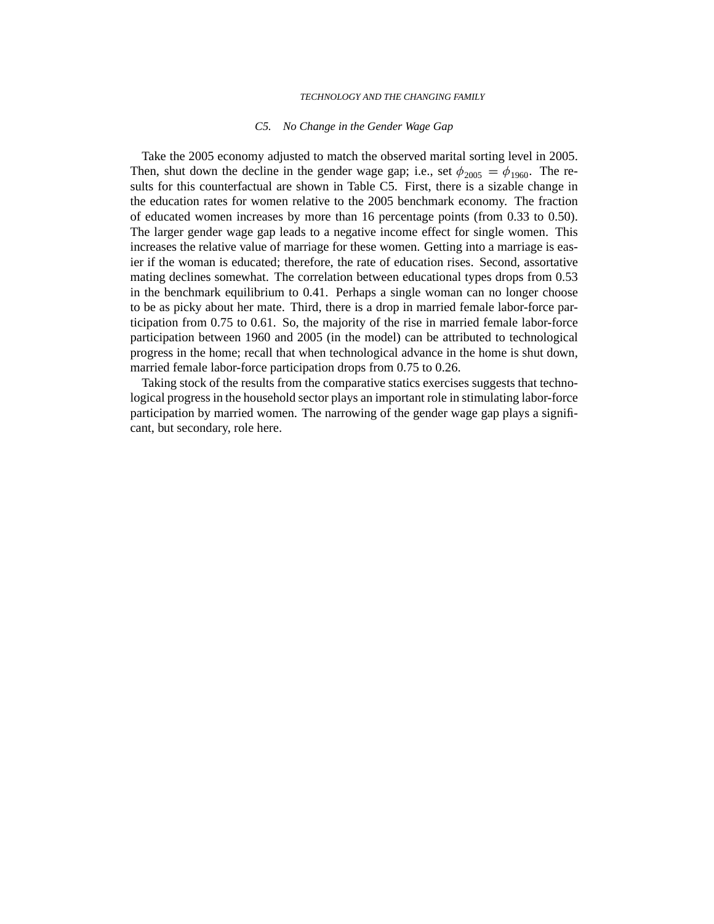#### *C5. No Change in the Gender Wage Gap*

Take the 2005 economy adjusted to match the observed marital sorting level in 2005. Then, shut down the decline in the gender wage gap; i.e., set  $\phi_{2005} = \phi_{1960}$ . The results for this counterfactual are shown in Table C5. First, there is a sizable change in the education rates for women relative to the 2005 benchmark economy. The fraction of educated women increases by more than 16 percentage points (from 0.33 to 0.50). The larger gender wage gap leads to a negative income effect for single women. This increases the relative value of marriage for these women. Getting into a marriage is easier if the woman is educated; therefore, the rate of education rises. Second, assortative mating declines somewhat. The correlation between educational types drops from 0.53 in the benchmark equilibrium to 0.41. Perhaps a single woman can no longer choose to be as picky about her mate. Third, there is a drop in married female labor-force participation from 0.75 to 0.61. So, the majority of the rise in married female labor-force participation between 1960 and 2005 (in the model) can be attributed to technological progress in the home; recall that when technological advance in the home is shut down, married female labor-force participation drops from 0.75 to 0.26.

Taking stock of the results from the comparative statics exercises suggests that technological progress in the household sector plays an important role in stimulating labor-force participation by married women. The narrowing of the gender wage gap plays a significant, but secondary, role here.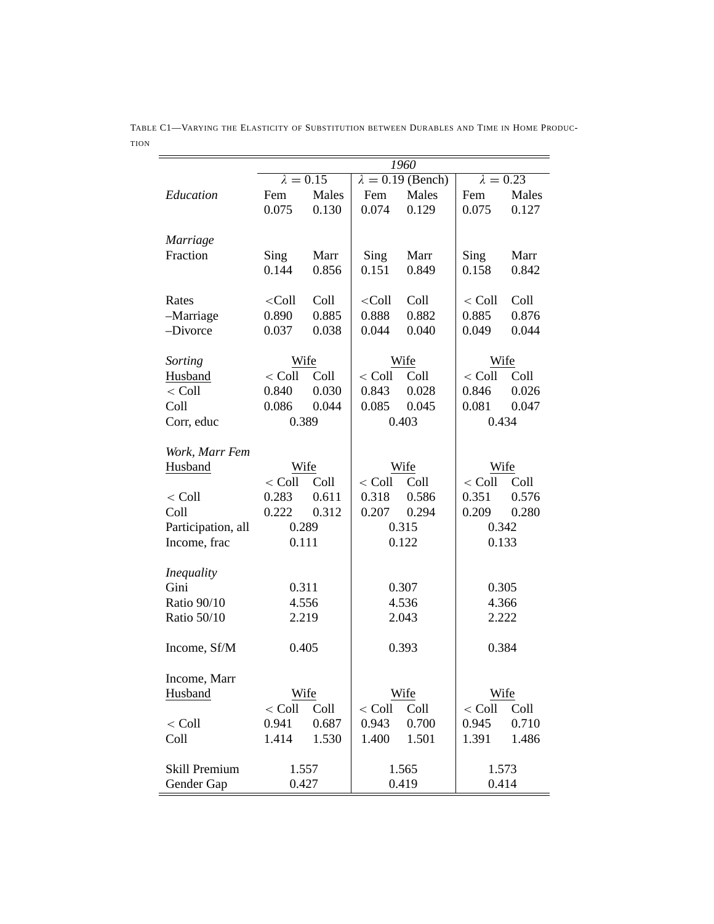|                    | 1960             |       |                          |       |                  |       |  |
|--------------------|------------------|-------|--------------------------|-------|------------------|-------|--|
|                    | $\lambda = 0.15$ |       | $\lambda = 0.19$ (Bench) |       | $\lambda = 0.23$ |       |  |
| Education          | Fem              | Males | Fem                      | Males | Fem              | Males |  |
|                    | 0.075            | 0.130 | 0.074                    | 0.129 | 0.075            | 0.127 |  |
| Marriage           |                  |       |                          |       |                  |       |  |
| Fraction           | Sing             | Marr  | Sing                     | Marr  | Sing             | Marr  |  |
|                    | 0.144            | 0.856 | 0.151                    | 0.849 | 0.158            | 0.842 |  |
| Rates              | $<$ Coll         | Coll  | $<$ Coll                 | Coll  | $<$ Coll         | Coll  |  |
| -Marriage          | 0.890            | 0.885 | 0.888                    | 0.882 | 0.885            | 0.876 |  |
| -Divorce           | 0.037            | 0.038 | 0.044                    | 0.040 | 0.049            | 0.044 |  |
| Sorting            | Wife             |       |                          | Wife  | Wife             |       |  |
| Husband            | $<$ Coll         | Coll  | $<$ Coll                 | Coll  | $<$ Coll         | Coll  |  |
| $<$ Coll           | 0.840            | 0.030 | 0.843                    | 0.028 | 0.846            | 0.026 |  |
| Coll               | 0.086            | 0.044 | 0.085                    | 0.045 | 0.081            | 0.047 |  |
| Corr, educ         | 0.389            |       | 0.403                    |       | 0.434            |       |  |
| Work, Marr Fem     |                  |       |                          |       |                  |       |  |
| Husband            | Wife             |       | Wife                     |       | Wife             |       |  |
|                    | $<$ Coll         | Coll  | $<$ Coll                 | Coll  | $<$ Coll         | Coll  |  |
| $<$ Coll           | 0.283            | 0.611 | 0.318                    | 0.586 | 0.351            | 0.576 |  |
| Coll               | 0.222            | 0.312 | 0.207                    | 0.294 | 0.209            | 0.280 |  |
| Participation, all | 0.289            |       | 0.315                    |       | 0.342            |       |  |
| Income, frac       | 0.111            |       | 0.122                    |       | 0.133            |       |  |
| <i>Inequality</i>  |                  |       |                          |       |                  |       |  |
| Gini               | 0.311            |       | 0.307                    |       | 0.305            |       |  |
| Ratio 90/10        | 4.556            |       | 4.536                    |       | 4.366            |       |  |
| Ratio 50/10        | 2.219            |       |                          | 2.043 | 2.222            |       |  |
| Income, Sf/M       | 0.405            |       | 0.393                    |       | 0.384            |       |  |
| Income, Marr       |                  |       |                          |       |                  |       |  |
| Husband            | Wife             |       |                          | Wife  | Wife             |       |  |
|                    | $<$ Coll         | Coll  | $<$ Coll                 | Coll  | $<$ Coll         | Coll  |  |
| $<$ Coll           | 0.941            | 0.687 | 0.943                    | 0.700 | 0.945            | 0.710 |  |
| Coll               | 1.414            | 1.530 | 1.400                    | 1.501 | 1.391            | 1.486 |  |
| Skill Premium      | 1.557            |       | 1.565                    |       | 1.573            |       |  |
| Gender Gap         | 0.427            |       | 0.419                    |       | 0.414            |       |  |

TABLE C1—VARYING THE ELASTICITY OF SUBSTITUTION BETWEEN DURABLES AND TIME IN HOME PRODUC-TION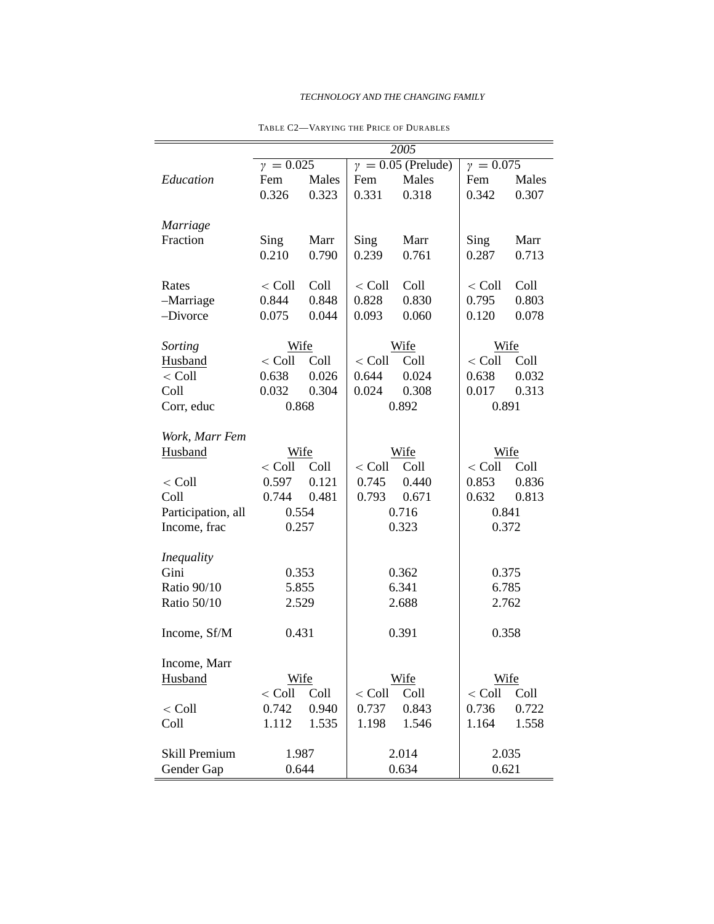|                    | 2005          |               |               |                           |               |               |  |
|--------------------|---------------|---------------|---------------|---------------------------|---------------|---------------|--|
|                    | $y = 0.025$   |               |               | $\gamma = 0.05$ (Prelude) | $y = 0.075$   |               |  |
| Education          | Fem           | Males         | Fem           | Males                     | Fem           | Males         |  |
|                    | 0.326         | 0.323         | 0.331         | 0.318                     | 0.342         | 0.307         |  |
| <b>Marriage</b>    |               |               |               |                           |               |               |  |
| Fraction           | Sing<br>0.210 | Marr<br>0.790 | Sing<br>0.239 | Marr<br>0.761             | Sing<br>0.287 | Marr<br>0.713 |  |
| Rates              | $<$ Coll      | Coll          | $<$ Coll      | Coll                      | $<$ Coll      | Coll          |  |
| -Marriage          | 0.844         | 0.848         | 0.828         | 0.830                     | 0.795         | 0.803         |  |
| -Divorce           | 0.075         | 0.044         | 0.093         | 0.060                     | 0.120         | 0.078         |  |
| Sorting            | Wife          |               |               | Wife                      | Wife          |               |  |
| Husband            | $<$ Coll      | Coll          | $<$ Coll      | Coll                      | $<$ Coll      | Coll          |  |
| $<$ Coll           | 0.638         | 0.026         | 0.644         | 0.024                     | 0.638         | 0.032         |  |
| Coll               | 0.032         | 0.304         | 0.024         | 0.308                     | 0.017         | 0.313         |  |
| Corr, educ         | 0.868         |               | 0.892         |                           | 0.891         |               |  |
| Work, Marr Fem     |               |               |               |                           |               |               |  |
| Husband            | Wife          |               | Wife          |                           | Wife          |               |  |
|                    | $<$ Coll      | Coll          | $<$ Coll      | Coll                      | $<$ Coll      | Coll          |  |
| $<$ Coll           | 0.597         | 0.121         | 0.745         | 0.440                     | 0.853         | 0.836         |  |
| Coll               | 0.744         | 0.481         | 0.793         | 0.671                     | 0.632         | 0.813         |  |
| Participation, all | 0.554         |               | 0.716         |                           | 0.841         |               |  |
| Income, frac       | 0.257         |               | 0.323         |                           | 0.372         |               |  |
| <i>Inequality</i>  |               |               |               |                           |               |               |  |
| Gini               |               | 0.353         |               | 0.362                     |               | 0.375         |  |
| Ratio 90/10        | 5.855         |               | 6.341         |                           | 6.785         |               |  |
| Ratio 50/10        | 2.529         |               | 2.688         |                           | 2.762         |               |  |
| Income, Sf/M       | 0.431         |               | 0.391         |                           | 0.358         |               |  |
| Income, Marr       |               |               |               |                           |               |               |  |
| Husband            | Wife          |               |               | Wife                      | Wife          |               |  |
|                    | $<$ Coll      | Coll          | $<$ Coll      | Coll                      | $<$ Coll      | Coll          |  |
| $<$ Coll $\,$      | 0.742         | 0.940         | 0.737         | 0.843                     | 0.736         | 0.722         |  |
| Coll               | 1.112         | 1.535         | 1.198         | 1.546                     | 1.164         | 1.558         |  |
| Skill Premium      | 1.987         |               |               | 2.014                     |               | 2.035         |  |
| Gender Gap         | 0.644         |               | 0.634         |                           | 0.621         |               |  |

TABLE C2—VARYING THE PRICE OF DURABLES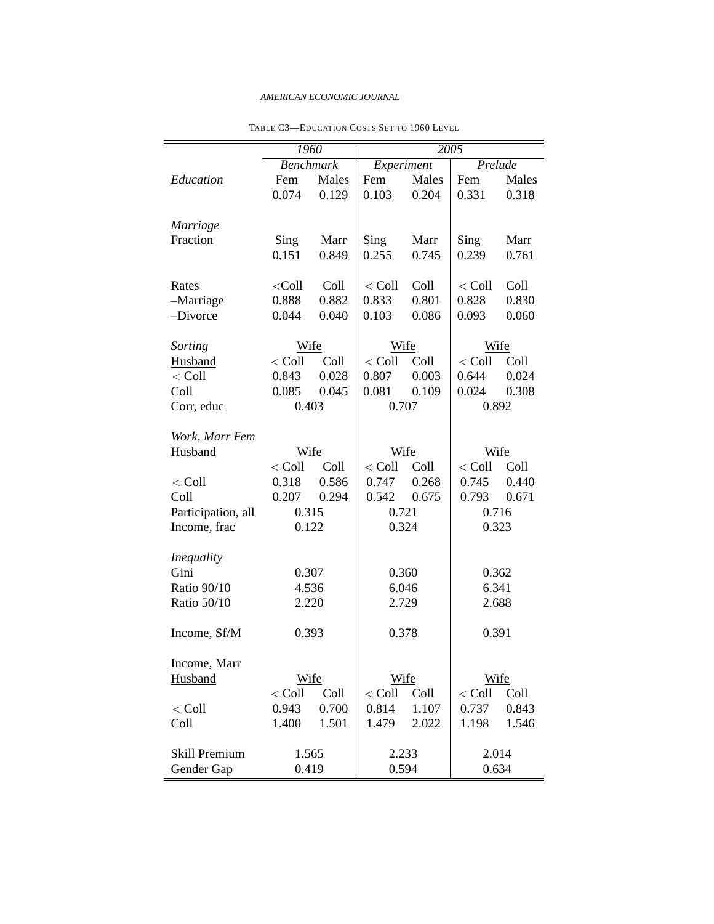## *AMERICAN ECONOMIC JOURNAL*

|                    | 1960             |       | 2005       |       |          |       |  |
|--------------------|------------------|-------|------------|-------|----------|-------|--|
|                    | <b>Benchmark</b> |       | Experiment |       | Prelude  |       |  |
| Education          | Fem              | Males | Fem        | Males | Fem      | Males |  |
|                    | 0.074            | 0.129 | 0.103      | 0.204 | 0.331    | 0.318 |  |
| Marriage           |                  |       |            |       |          |       |  |
| Fraction           | Sing             | Marr  | Sing       | Marr  | Sing     | Marr  |  |
|                    | 0.151            | 0.849 | 0.255      | 0.745 | 0.239    | 0.761 |  |
| Rates              | $<$ Coll         | Coll  | $<$ Coll   | Coll  | $<$ Coll | Coll  |  |
| -Marriage          | 0.888            | 0.882 | 0.833      | 0.801 | 0.828    | 0.830 |  |
| -Divorce           | 0.044            | 0.040 | 0.103      | 0.086 | 0.093    | 0.060 |  |
| Sorting            | Wife             |       |            | Wife  |          | Wife  |  |
| Husband            | $<$ Coll         | Coll  | $<$ Coll   | Coll  | $<$ Coll | Coll  |  |
| $<$ Coll           | 0.843            | 0.028 | 0.807      | 0.003 | 0.644    | 0.024 |  |
| Coll               | 0.085            | 0.045 | 0.081      | 0.109 | 0.024    | 0.308 |  |
| Corr, educ         | 0.403            |       | 0.707      |       | 0.892    |       |  |
| Work, Marr Fem     |                  |       |            |       |          |       |  |
| Husband            | Wife             |       |            | Wife  |          | Wife  |  |
|                    | $<$ Coll         | Coll  | $<$ Coll   | Coll  | $<$ Coll | Coll  |  |
| $<$ Coll           | 0.318            | 0.586 | 0.747      | 0.268 | 0.745    | 0.440 |  |
| Coll               | 0.207            | 0.294 | 0.542      | 0.675 | 0.793    | 0.671 |  |
| Participation, all | 0.315            |       | 0.721      |       | 0.716    |       |  |
| Income, frac       | 0.122            |       | 0.324      |       |          | 0.323 |  |
| <b>Inequality</b>  |                  |       |            |       |          |       |  |
| Gini               | 0.307            |       | 0.360      |       | 0.362    |       |  |
| <b>Ratio 90/10</b> | 4.536            |       | 6.046      |       | 6.341    |       |  |
| Ratio 50/10        | 2.220            |       | 2.729      |       | 2.688    |       |  |
| Income, Sf/M       | 0.393            |       | 0.378      |       | 0.391    |       |  |
| Income, Marr       |                  |       |            |       |          |       |  |
| Husband            | Wife             |       | Wife       |       | Wife     |       |  |
|                    | $<$ Coll         | Coll  | $<$ Coll   | Coll  | $<$ Coll | Coll  |  |
| $<$ Coll           | 0.943            | 0.700 | 0.814      | 1.107 | 0.737    | 0.843 |  |
| Coll               | 1.400            | 1.501 | 1.479      | 2.022 | 1.198    | 1.546 |  |
| Skill Premium      | 1.565            |       | 2.233      |       | 2.014    |       |  |
| Gender Gap         |                  | 0.419 |            | 0.594 |          | 0.634 |  |

TABLE C3—EDUCATION COSTS SET TO 1960 LEVEL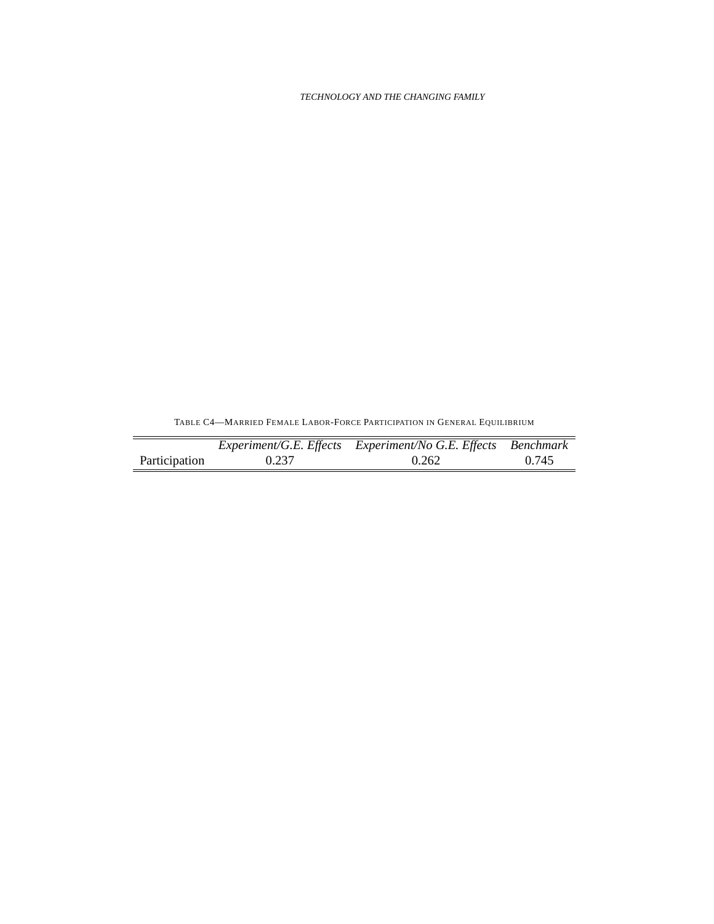TABLE C4—MARRIED FEMALE LABOR-FORCE PARTICIPATION IN GENERAL EQUILIBRIUM

|               |       | Experiment/G.E. Effects Experiment/No G.E. Effects Benchmark |       |
|---------------|-------|--------------------------------------------------------------|-------|
| Participation | 0.237 | 0.262                                                        | 0.745 |